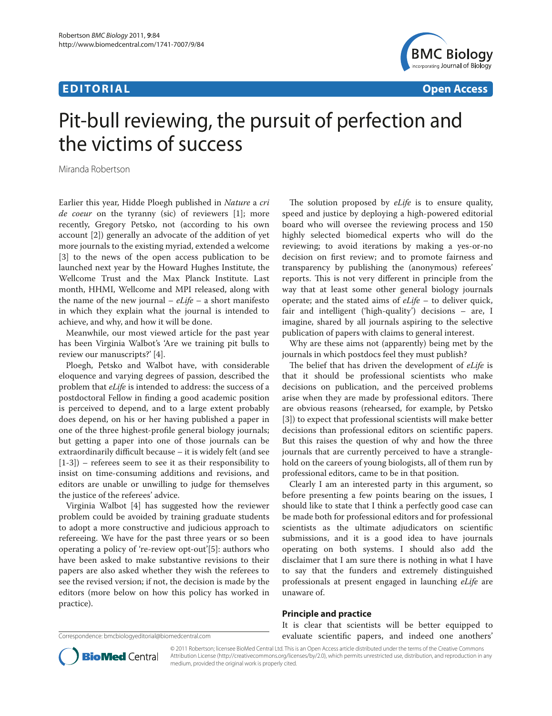# **E D I TO R I A L Open Access**



# Pit-bull reviewing, the pursuit of perfection and the victims of success

Miranda Robertson

Earlier this year, Hidde Ploegh published in *Nature* a *cri de coeur* on the tyranny (sic) of reviewers [1]; more recently, Gregory Petsko, not (according to his own account [2]) generally an advocate of the addition of yet more journals to the existing myriad, extended a welcome [3] to the news of the open access publication to be launched next year by the Howard Hughes Institute, the Wellcome Trust and the Max Planck Institute. Last month, HHMI, Wellcome and MPI released, along with the name of the new journal – *eLife* – a short manifesto in which they explain what the journal is intended to achieve, and why, and how it will be done.

Meanwhile, our most viewed article for the past year has been Virginia Walbot's 'Are we training pit bulls to review our manuscripts?' [4].

Ploegh, Petsko and Walbot have, with considerable eloquence and varying degrees of passion, described the problem that *eLife* is intended to address: the success of a postdoctoral Fellow in finding a good academic position is perceived to depend, and to a large extent probably does depend, on his or her having published a paper in one of the three highest-profile general biology journals; but getting a paper into one of those journals can be extraordinarily difficult because – it is widely felt (and see [1-3]) – referees seem to see it as their responsibility to insist on time-consuming additions and revisions, and editors are unable or unwilling to judge for themselves the justice of the referees' advice.

Virginia Walbot [4] has suggested how the reviewer problem could be avoided by training graduate students to adopt a more constructive and judicious approach to refereeing. We have for the past three years or so been operating a policy of 're-review opt-out'[5]: authors who have been asked to make substantive revisions to their papers are also asked whether they wish the referees to see the revised version; if not, the decision is made by the editors (more below on how this policy has worked in practice).

The solution proposed by *eLife* is to ensure quality, speed and justice by deploying a high-powered editorial board who will oversee the reviewing process and 150 highly selected biomedical experts who will do the reviewing; to avoid iterations by making a yes-or-no decision on first review; and to promote fairness and transparency by publishing the (anonymous) referees' reports. This is not very different in principle from the way that at least some other general biology journals operate; and the stated aims of *eLife* – to deliver quick, fair and intelligent ('high-quality') decisions – are, I imagine, shared by all journals aspiring to the selective publication of papers with claims to general interest.

Why are these aims not (apparently) being met by the journals in which postdocs feel they must publish?

The belief that has driven the development of *eLife* is that it should be professional scientists who make decisions on publication, and the perceived problems arise when they are made by professional editors. There are obvious reasons (rehearsed, for example, by Petsko [3]) to expect that professional scientists will make better decisions than professional editors on scientific papers. But this raises the question of why and how the three journals that are currently perceived to have a stranglehold on the careers of young biologists, all of them run by professional editors, came to be in that position.

Clearly I am an interested party in this argument, so before presenting a few points bearing on the issues, I should like to state that I think a perfectly good case can be made both for professional editors and for professional scientists as the ultimate adjudicators on scientific submissions, and it is a good idea to have journals operating on both systems. I should also add the disclaimer that I am sure there is nothing in what I have to say that the funders and extremely distinguished professionals at present engaged in launching *eLife* are unaware of.

## **Principle and practice**

It is clear that scientists will be better equipped to evaluate scientific papers, and indeed one anothers'

Correspondence: bmcbiologyeditorial@biomedcentral.com



© 2011 Robertson; licensee BioMed Central Ltd. This is an Open Access article distributed under the terms of the Creative Commons Attribution License (http://creativecommons.org/licenses/by/2.0), which permits unrestricted use, distribution, and reproduction in any medium, provided the original work is properly cited.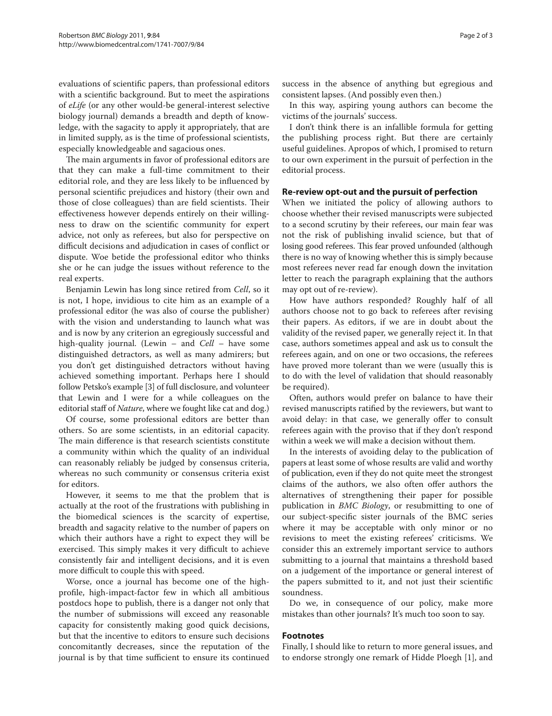evaluations of scientific papers, than professional editors with a scientific background. But to meet the aspirations of *eLife* (or any other would-be general-interest selective biology journal) demands a breadth and depth of knowledge, with the sagacity to apply it appropriately, that are in limited supply, as is the time of professional scientists, especially knowledgeable and sagacious ones.

The main arguments in favor of professional editors are that they can make a full-time commitment to their editorial role, and they are less likely to be influenced by personal scientific prejudices and history (their own and those of close colleagues) than are field scientists. Their effectiveness however depends entirely on their willingness to draw on the scientific community for expert advice, not only as referees, but also for perspective on difficult decisions and adjudication in cases of conflict or dispute. Woe betide the professional editor who thinks she or he can judge the issues without reference to the real experts.

Benjamin Lewin has long since retired from *Cell*, so it is not, I hope, invidious to cite him as an example of a professional editor (he was also of course the publisher) with the vision and understanding to launch what was and is now by any criterion an egregiously successful and high-quality journal. (Lewin – and *Cell* – have some distinguished detractors, as well as many admirers; but you don't get distinguished detractors without having achieved something important. Perhaps here I should follow Petsko's example [3] of full disclosure, and volunteer that Lewin and I were for a while colleagues on the editorial staff of *Nature*, where we fought like cat and dog.)

Of course, some professional editors are better than others. So are some scientists, in an editorial capacity. The main difference is that research scientists constitute a community within which the quality of an individual can reasonably reliably be judged by consensus criteria, whereas no such community or consensus criteria exist for editors.

However, it seems to me that the problem that is actually at the root of the frustrations with publishing in the biomedical sciences is the scarcity of expertise, breadth and sagacity relative to the number of papers on which their authors have a right to expect they will be exercised. This simply makes it very difficult to achieve consistently fair and intelligent decisions, and it is even more difficult to couple this with speed.

Worse, once a journal has become one of the highprofile, high-impact-factor few in which all ambitious postdocs hope to publish, there is a danger not only that the number of submissions will exceed any reasonable capacity for consistently making good quick decisions, but that the incentive to editors to ensure such decisions concomitantly decreases, since the reputation of the journal is by that time sufficient to ensure its continued success in the absence of anything but egregious and consistent lapses. (And possibly even then.)

In this way, aspiring young authors can become the victims of the journals' success.

I don't think there is an infallible formula for getting the publishing process right. But there are certainly useful guidelines. Apropos of which, I promised to return to our own experiment in the pursuit of perfection in the editorial process.

### **Re-review opt-out and the pursuit of perfection**

When we initiated the policy of allowing authors to choose whether their revised manuscripts were subjected to a second scrutiny by their referees, our main fear was not the risk of publishing invalid science, but that of losing good referees. This fear proved unfounded (although there is no way of knowing whether this is simply because most referees never read far enough down the invitation letter to reach the paragraph explaining that the authors may opt out of re-review).

How have authors responded? Roughly half of all authors choose not to go back to referees after revising their papers. As editors, if we are in doubt about the validity of the revised paper, we generally reject it. In that case, authors sometimes appeal and ask us to consult the referees again, and on one or two occasions, the referees have proved more tolerant than we were (usually this is to do with the level of validation that should reasonably be required).

Often, authors would prefer on balance to have their revised manuscripts ratified by the reviewers, but want to avoid delay: in that case, we generally offer to consult referees again with the proviso that if they don't respond within a week we will make a decision without them.

In the interests of avoiding delay to the publication of papers at least some of whose results are valid and worthy of publication, even if they do not quite meet the strongest claims of the authors, we also often offer authors the alternatives of strengthening their paper for possible publication in *BMC Biology*, or resubmitting to one of our subject-specific sister journals of the BMC series where it may be acceptable with only minor or no revisions to meet the existing referees' criticisms. We consider this an extremely important service to authors submitting to a journal that maintains a threshold based on a judgement of the importance or general interest of the papers submitted to it, and not just their scientific soundness.

Do we, in consequence of our policy, make more mistakes than other journals? It's much too soon to say.

### **Footnotes**

Finally, I should like to return to more general issues, and to endorse strongly one remark of Hidde Ploegh [1], and